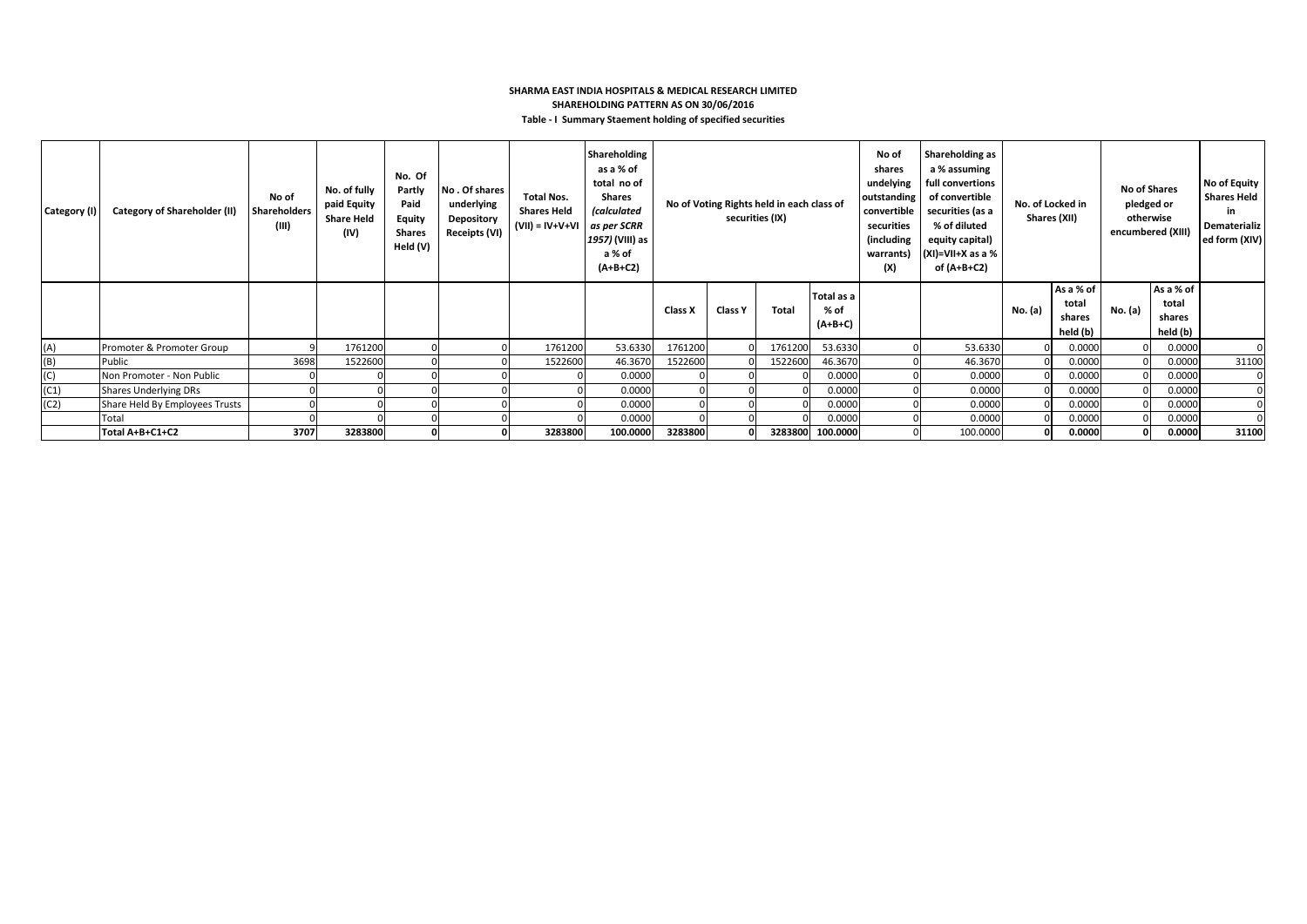## **SHARMA EAST INDIA HOSPITALS & MEDICAL RESEARCH LIMITED SHAREHOLDING PATTERN AS ON 30/06/2016**

|  |  | Table - I Summary Staement holding of specified securities |  |  |  |  |  |
|--|--|------------------------------------------------------------|--|--|--|--|--|
|--|--|------------------------------------------------------------|--|--|--|--|--|

| Category (I) | <b>Category of Shareholder (II)</b> | No of<br>Shareholders<br>(III) | No. of fully<br>paid Equity<br><b>Share Held</b><br>(IV) | No. Of<br>Partly<br>Paid<br><b>Equity</b><br><b>Shares</b><br>Held (V) | No. Of shares<br>underlying<br><b>Depository</b><br>Receipts (VI) | <b>Total Nos.</b><br><b>Shares Held</b><br>$(VII) = IV + V + VI$ | Shareholding<br>as a % of<br>total no of<br>Shares<br><i>(calculated</i><br>as per SCRR<br>1957) (VIII) as<br>a % of<br>$(A+B+C2)$ | No of Voting Rights held in each class of<br>securities (IX) |                |         |                                 |  |          |         |                                          |         | No of<br>shares<br>undelying<br>outstanding<br>convertible<br>securities<br>(including)<br>warrants)<br>(X) | Shareholding as<br>a % assuming<br>full convertions<br>of convertible<br>securities (as a<br>% of diluted<br>equity capital)<br>(XI)=VII+X as a %<br>of (A+B+C2) | No. of Locked in<br>Shares (XII) |  | <b>No of Shares</b><br>pledged or<br>otherwise<br>encumbered (XIII) |  | No of Equity<br><b>Shares Held</b><br>in.<br>Dematerializ<br>ed form (XIV) |
|--------------|-------------------------------------|--------------------------------|----------------------------------------------------------|------------------------------------------------------------------------|-------------------------------------------------------------------|------------------------------------------------------------------|------------------------------------------------------------------------------------------------------------------------------------|--------------------------------------------------------------|----------------|---------|---------------------------------|--|----------|---------|------------------------------------------|---------|-------------------------------------------------------------------------------------------------------------|------------------------------------------------------------------------------------------------------------------------------------------------------------------|----------------------------------|--|---------------------------------------------------------------------|--|----------------------------------------------------------------------------|
|              |                                     |                                |                                                          |                                                                        |                                                                   |                                                                  |                                                                                                                                    | Class X                                                      | <b>Class Y</b> | Total   | Total as a<br>% of<br>$(A+B+C)$ |  |          | No. (a) | As a % of<br>total<br>shares<br>held (b) | No. (a) | As a % of<br>total<br>shares<br>held (b)                                                                    |                                                                                                                                                                  |                                  |  |                                                                     |  |                                                                            |
| (A)          | Promoter & Promoter Group           |                                | 1761200                                                  |                                                                        |                                                                   | 1761200                                                          | 53.6330                                                                                                                            | 1761200                                                      |                | 1761200 | 53.6330                         |  | 53.6330  |         | 0.0000                                   |         | 0.0000                                                                                                      |                                                                                                                                                                  |                                  |  |                                                                     |  |                                                                            |
| (B)          | Public                              | 3698                           | 1522600                                                  |                                                                        |                                                                   | 1522600                                                          | 46.3670                                                                                                                            | 1522600                                                      |                | 1522600 | 46.3670                         |  | 46.3670  |         | 0.0000                                   |         | 0.0000                                                                                                      | 31100                                                                                                                                                            |                                  |  |                                                                     |  |                                                                            |
| (C)          | Non Promoter - Non Public           |                                |                                                          |                                                                        |                                                                   |                                                                  | 0.0000                                                                                                                             |                                                              |                |         | 0.0000                          |  | 0.0000   |         | 0.0000                                   |         | 0.0000                                                                                                      |                                                                                                                                                                  |                                  |  |                                                                     |  |                                                                            |
| (C1)         | <b>Shares Underlying DRs</b>        |                                |                                                          |                                                                        |                                                                   |                                                                  | 0.0000                                                                                                                             |                                                              |                |         | 0.0000                          |  | 0.0000   |         | 0.0000                                   |         | 0.0000                                                                                                      |                                                                                                                                                                  |                                  |  |                                                                     |  |                                                                            |
| (C2)         | Share Held By Employees Trusts      |                                |                                                          |                                                                        |                                                                   |                                                                  | 0.0000                                                                                                                             |                                                              |                |         | 0.0000                          |  | 0.0000   |         | 0.0000                                   |         | 0.0000                                                                                                      |                                                                                                                                                                  |                                  |  |                                                                     |  |                                                                            |
|              | Total                               |                                |                                                          |                                                                        |                                                                   |                                                                  | 0.0000                                                                                                                             |                                                              |                |         | 0.0000                          |  | 0.0000   |         | 0.0000                                   |         | 0.0000                                                                                                      |                                                                                                                                                                  |                                  |  |                                                                     |  |                                                                            |
|              | Total A+B+C1+C2                     | 3707                           | 3283800                                                  | O                                                                      |                                                                   | 3283800                                                          | 100.0000                                                                                                                           | 3283800                                                      |                |         | 3283800 100.0000                |  | 100.0000 |         | 0.0000                                   |         | 0.0000                                                                                                      | 31100                                                                                                                                                            |                                  |  |                                                                     |  |                                                                            |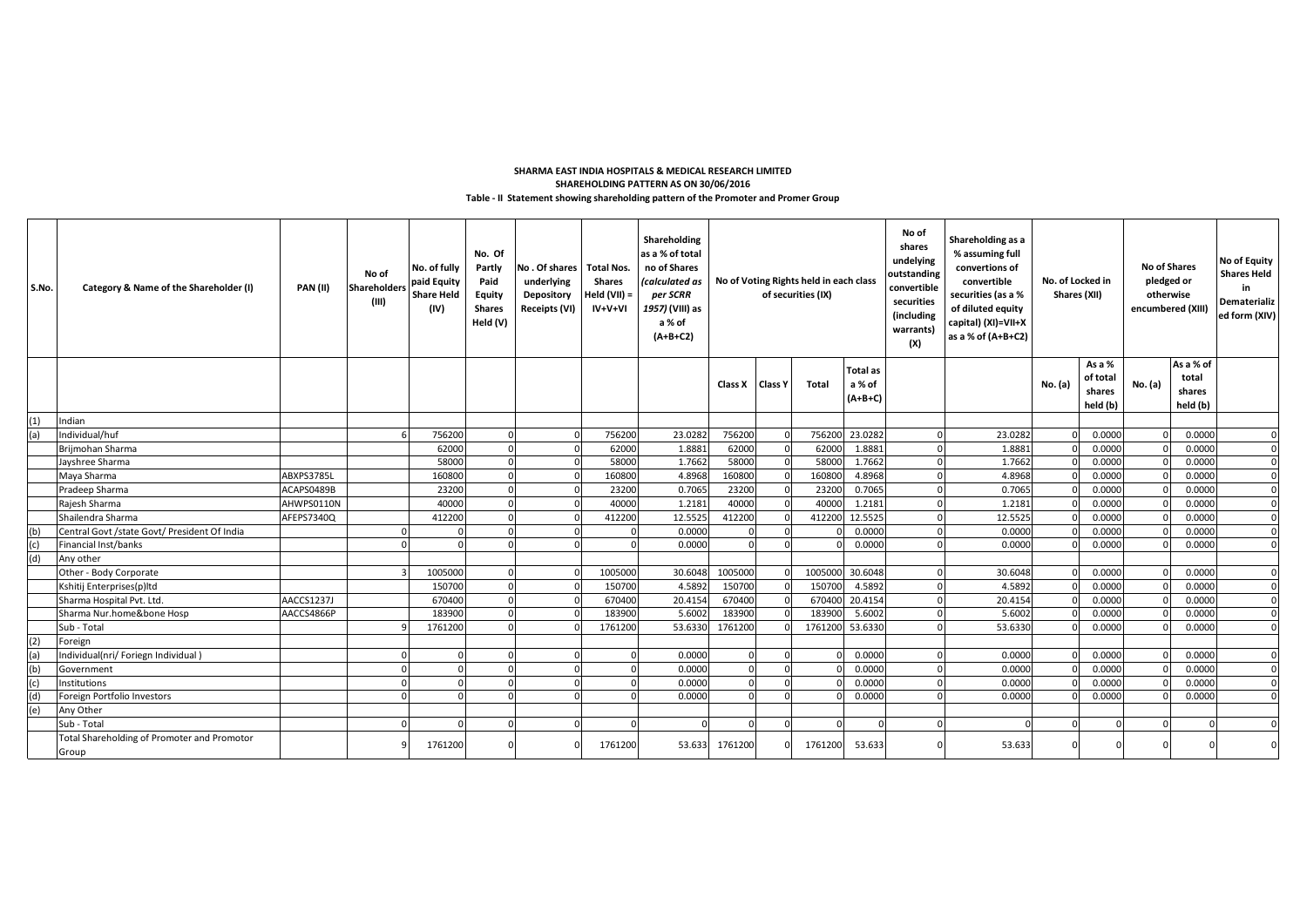### **Table - II Statement showing shareholding pattern of the Promoter and Promer Group SHAREHOLDING PATTERN AS ON 30/06/2016 SHARMA EAST INDIA HOSPITALS & MEDICAL RESEARCH LIMITED**

| S.No. | Category & Name of the Shareholder (I)               | <b>PAN (II)</b> | No of<br><b>Shareholders</b><br>(III) | No. of fully<br>paid Equity<br><b>Share Held</b><br>(IV) | No. Of<br>Partly<br>Paid<br>Equity<br><b>Shares</b><br>Held (V) | No. Of shares<br>underlying<br>Depository<br>Receipts (VI) | Total Nos.<br><b>Shares</b><br>Held (VII) =<br>IV+V+VI | Shareholding<br>as a % of total<br>no of Shares<br>(calculated as<br>per SCRR<br>1957) (VIII) as<br>a % of<br>$(A+B+C2)$ | No of Voting Rights held in each class<br>of securities (IX) |                | No of<br>shares<br>undelying<br>outstanding<br>convertible<br>securities<br>(including<br>warrants)<br>(X) | Shareholding as a<br>% assuming full<br>convertions of<br>convertible<br>securities (as a %<br>of diluted equity<br>capital) (XI)=VII+X<br>as a % of (A+B+C2) | No. of Locked in<br>Shares (XII) |         | <b>No of Shares</b><br>pledged or<br>otherwise<br>encumbered (XIII) |                                          | No of Equity<br><b>Shares Held</b><br>in<br>Dematerializ<br>ed form (XIV) |                                          |          |
|-------|------------------------------------------------------|-----------------|---------------------------------------|----------------------------------------------------------|-----------------------------------------------------------------|------------------------------------------------------------|--------------------------------------------------------|--------------------------------------------------------------------------------------------------------------------------|--------------------------------------------------------------|----------------|------------------------------------------------------------------------------------------------------------|---------------------------------------------------------------------------------------------------------------------------------------------------------------|----------------------------------|---------|---------------------------------------------------------------------|------------------------------------------|---------------------------------------------------------------------------|------------------------------------------|----------|
|       |                                                      |                 |                                       |                                                          |                                                                 |                                                            |                                                        |                                                                                                                          | Class X                                                      | <b>Class Y</b> | Total                                                                                                      | <b>Total as</b><br>a % of<br>$(A+B+C)$                                                                                                                        |                                  |         | No. (a)                                                             | As a %<br>of total<br>shares<br>held (b) | No. (a)                                                                   | As a % of<br>total<br>shares<br>held (b) |          |
| (1)   | Indian                                               |                 |                                       |                                                          |                                                                 |                                                            |                                                        |                                                                                                                          |                                                              |                |                                                                                                            |                                                                                                                                                               |                                  |         |                                                                     |                                          |                                                                           |                                          |          |
|       | Individual/huf                                       |                 |                                       | 756200                                                   |                                                                 |                                                            | 756200                                                 | 23.0282                                                                                                                  | 756200                                                       |                |                                                                                                            | 756200 23.0282                                                                                                                                                |                                  | 23.0282 |                                                                     | 0.0000                                   |                                                                           | 0.0000                                   |          |
|       | Brijmohan Sharma                                     |                 |                                       | 62000                                                    |                                                                 |                                                            | 62000                                                  | 1.8881                                                                                                                   | 62000                                                        |                | 62000                                                                                                      | 1.8881                                                                                                                                                        |                                  | 1.8881  |                                                                     | 0.0000                                   |                                                                           | 0.0000                                   | $\Omega$ |
|       | Jayshree Sharma                                      |                 |                                       | 58000                                                    |                                                                 |                                                            | 58000                                                  | 1.7662                                                                                                                   | 58000                                                        |                | 58000                                                                                                      | 1.7662                                                                                                                                                        |                                  | 1.7662  |                                                                     | 0.0000                                   |                                                                           | 0.0000                                   | $\Omega$ |
|       | Maya Sharma                                          | ABXPS3785L      |                                       | 160800                                                   |                                                                 |                                                            | 160800                                                 | 4.8968                                                                                                                   | 160800                                                       |                | 16080                                                                                                      | 4.8968                                                                                                                                                        |                                  | 4.8968  |                                                                     | 0.0000                                   |                                                                           | 0.0000                                   | $\Omega$ |
|       | Pradeep Sharma                                       | ACAPS0489B      |                                       | 23200                                                    |                                                                 |                                                            |                                                        | 0.7065                                                                                                                   | 23200                                                        |                | 2320                                                                                                       | 0.7065                                                                                                                                                        |                                  | 0.7065  |                                                                     | 0.0000                                   |                                                                           | 0.0000                                   |          |
|       | Rajesh Sharma                                        | AHWPS0110N      |                                       | 40000                                                    |                                                                 |                                                            | 40000                                                  | 1.2181                                                                                                                   | 40000                                                        |                | 4000                                                                                                       | 1.2181                                                                                                                                                        |                                  | 1.2181  |                                                                     | 0.0000                                   |                                                                           | 0.0000                                   | $\Omega$ |
|       | Shailendra Sharma                                    | AFEPS7340Q      |                                       | 412200                                                   |                                                                 |                                                            | 412200                                                 | 12.5525                                                                                                                  | 412200                                                       |                | 41220                                                                                                      | 12.5525                                                                                                                                                       |                                  | 12.5525 |                                                                     | 0.0000                                   |                                                                           | 0.0000                                   | $\Omega$ |
| (b)   | Central Govt /state Govt/ President Of India         |                 |                                       |                                                          |                                                                 |                                                            |                                                        | 0.0000                                                                                                                   |                                                              |                |                                                                                                            | 0.0000                                                                                                                                                        |                                  | 0.0000  |                                                                     | 0.0000                                   |                                                                           | 0.0000                                   | $\Omega$ |
| (c)   | Financial Inst/banks                                 |                 |                                       |                                                          |                                                                 |                                                            | $\cap$                                                 | 0.0000                                                                                                                   |                                                              |                |                                                                                                            | 0.0000                                                                                                                                                        |                                  | 0.0000  |                                                                     | 0.0000                                   |                                                                           | 0.0000                                   |          |
| (d)   | Any other                                            |                 |                                       |                                                          |                                                                 |                                                            |                                                        |                                                                                                                          |                                                              |                |                                                                                                            |                                                                                                                                                               |                                  |         |                                                                     |                                          |                                                                           |                                          |          |
|       | Other - Body Corporate                               |                 |                                       | 1005000                                                  |                                                                 |                                                            | 1005000                                                | 30.6048                                                                                                                  | 1005000                                                      |                | 1005000                                                                                                    | 30.6048                                                                                                                                                       |                                  | 30.6048 |                                                                     | 0.0000                                   |                                                                           | 0.0000                                   |          |
|       | Kshitij Enterprises(p)ltd                            |                 |                                       | 150700                                                   |                                                                 |                                                            | 150700                                                 | 4.5892                                                                                                                   | 150700                                                       |                | 150700                                                                                                     | 4.5892                                                                                                                                                        |                                  | 4.5892  |                                                                     | 0.0000                                   |                                                                           | 0.0000                                   | $\Omega$ |
|       | Sharma Hospital Pvt. Ltd.                            | AACCS1237J      |                                       | 670400                                                   |                                                                 |                                                            | 670400                                                 | 20.4154                                                                                                                  | 670400                                                       |                | 67040                                                                                                      | 20.4154                                                                                                                                                       |                                  | 20.4154 |                                                                     | 0.0000                                   |                                                                           | 0.0000                                   | $\Omega$ |
|       | Sharma Nur.home&bone Hosp                            | AACCS4866P      |                                       | 183900                                                   |                                                                 |                                                            | 183900                                                 | 5.6002                                                                                                                   | 183900                                                       |                | 18390                                                                                                      | 5.6002                                                                                                                                                        |                                  | 5.6002  |                                                                     | 0.0000                                   |                                                                           | 0.0000                                   | $\Omega$ |
|       | Sub - Total                                          |                 |                                       | 1761200                                                  |                                                                 |                                                            | 1761200                                                | 53.633                                                                                                                   | 1761200                                                      |                | 1761200                                                                                                    | 53.6330                                                                                                                                                       |                                  | 53.6330 |                                                                     | 0.0000                                   |                                                                           | 0.0000                                   | $\Omega$ |
| (2)   | Foreign                                              |                 |                                       |                                                          |                                                                 |                                                            |                                                        |                                                                                                                          |                                                              |                |                                                                                                            |                                                                                                                                                               |                                  |         |                                                                     |                                          |                                                                           |                                          |          |
|       | Individual(nri/ Foriegn Individual                   |                 |                                       |                                                          |                                                                 |                                                            |                                                        | 0.0000                                                                                                                   |                                                              |                |                                                                                                            | 0.0000                                                                                                                                                        |                                  | 0.0000  |                                                                     | 0.0000                                   |                                                                           | 0.0000                                   |          |
| (b)   | Government                                           |                 |                                       |                                                          |                                                                 |                                                            | $\cap$                                                 | 0.0000                                                                                                                   |                                                              |                |                                                                                                            | 0.0000                                                                                                                                                        |                                  | 0.0000  |                                                                     | 0.0000                                   |                                                                           | 0.0000                                   |          |
| (c)   | Institutions                                         |                 |                                       |                                                          |                                                                 |                                                            | $\cap$                                                 | 0.0000                                                                                                                   |                                                              |                |                                                                                                            | 0.0000                                                                                                                                                        |                                  | 0.0000  |                                                                     | 0.0000                                   |                                                                           | 0.0000                                   |          |
| (d)   | Foreign Portfolio Investors                          |                 |                                       |                                                          |                                                                 |                                                            |                                                        | 0.0000                                                                                                                   |                                                              |                |                                                                                                            | 0.0000                                                                                                                                                        |                                  | 0.0000  |                                                                     | 0.0000                                   |                                                                           | 0.0000                                   |          |
| (e)   | Any Other                                            |                 |                                       |                                                          |                                                                 |                                                            |                                                        |                                                                                                                          |                                                              |                |                                                                                                            |                                                                                                                                                               |                                  |         |                                                                     |                                          |                                                                           |                                          |          |
|       | Sub - Total                                          |                 |                                       |                                                          |                                                                 |                                                            |                                                        |                                                                                                                          |                                                              |                |                                                                                                            |                                                                                                                                                               |                                  |         |                                                                     |                                          |                                                                           |                                          |          |
|       | Total Shareholding of Promoter and Promotor<br>Group |                 |                                       | 1761200                                                  |                                                                 |                                                            | 1761200                                                | 53.633                                                                                                                   | 1761200                                                      |                | 1761200                                                                                                    | 53.633                                                                                                                                                        |                                  | 53.633  |                                                                     |                                          |                                                                           |                                          |          |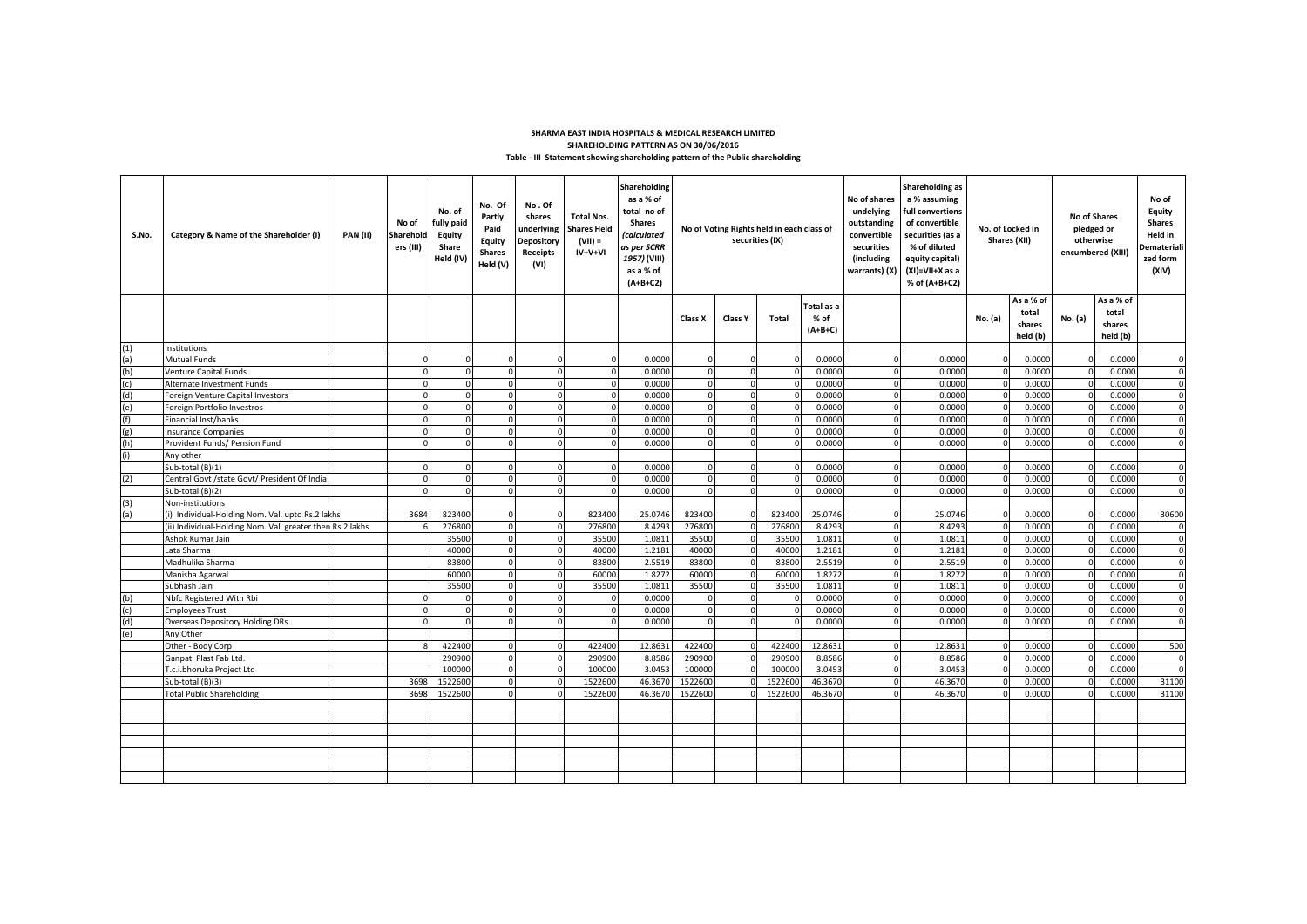#### **Table - III Statement showing shareholding pattern of the Public shareholding SHARMA EAST INDIA HOSPITALS & MEDICAL RESEARCH LIMITED SHAREHOLDING PATTERN AS ON 30/06/2016**

| No. Of<br>No.Of<br>total no of<br>undelying<br>full convertions<br>No. of<br><b>No of Shares</b><br><b>Total Nos.</b><br>Partly<br>shares<br><b>Shares</b><br>outstanding<br>of convertible<br>fully paid<br>No of<br>No of Voting Rights held in each class of<br>Paid<br>underlying<br>No. of Locked in<br>Shares Held<br>convertible<br>securities (as a<br>Category & Name of the Shareholder (I)<br>PAN(II)<br>Sharehold<br><b>Equity</b><br>(calculated<br>S.No.<br>securities (IX)<br>Shares (XII)<br>$(VII) =$<br>Equity<br>Depository<br>% of diluted<br>ers (III)<br>Share<br>as per SCRR<br>securities<br>IV+V+VI<br><b>Shares</b><br>Receipts<br>1957) (VIII)<br>Held (IV)<br>(including<br>equity capital)<br>Held (V)<br>(VI)<br>as a % of<br>warrants) (X)<br>(XI)=VII+X as a<br>$(A+B+C2)$<br>% of (A+B+C2) | Equity<br><b>Shares</b><br>pledged or<br>Held in<br>otherwise<br>Demateriali<br>encumbered (XIII)<br>zed form<br>(XIV) |
|-----------------------------------------------------------------------------------------------------------------------------------------------------------------------------------------------------------------------------------------------------------------------------------------------------------------------------------------------------------------------------------------------------------------------------------------------------------------------------------------------------------------------------------------------------------------------------------------------------------------------------------------------------------------------------------------------------------------------------------------------------------------------------------------------------------------------------|------------------------------------------------------------------------------------------------------------------------|
| As a % of<br>Total as a<br>total                                                                                                                                                                                                                                                                                                                                                                                                                                                                                                                                                                                                                                                                                                                                                                                            | As a % of<br>total                                                                                                     |
| % of<br>No. (a)<br>No. (a)<br><b>Total</b><br>Class X<br>Class Y<br>shares<br>$(A+B+C)$<br>held (b)                                                                                                                                                                                                                                                                                                                                                                                                                                                                                                                                                                                                                                                                                                                         | shares<br>held (b)                                                                                                     |
| (1)<br>Institutions                                                                                                                                                                                                                                                                                                                                                                                                                                                                                                                                                                                                                                                                                                                                                                                                         |                                                                                                                        |
| Mutual Funds<br>0.0000<br>0.0000<br>0.0000<br>0.0000<br>(a)<br>$\mathbf 0$<br>$\Omega$<br>$\Omega$<br>$\Omega$<br>r                                                                                                                                                                                                                                                                                                                                                                                                                                                                                                                                                                                                                                                                                                         | 0.0000<br>$\mathbf{0}$                                                                                                 |
| $\mathbf 0$<br>0.0000<br>0.0000<br>0.0000<br>0.0000<br>(b)<br>Venture Capital Funds<br>$\Omega$<br>$\Omega$<br>$\Omega$<br>n<br>$\Omega$<br>n                                                                                                                                                                                                                                                                                                                                                                                                                                                                                                                                                                                                                                                                               | 0.0000<br>$\Omega$                                                                                                     |
| Alternate Investment Funds<br>0.0000<br>0.0000<br>0.0000<br>0.0000<br>(c)<br>$\Omega$                                                                                                                                                                                                                                                                                                                                                                                                                                                                                                                                                                                                                                                                                                                                       | 0.0000<br>$\Omega$                                                                                                     |
| (d)<br>Foreign Venture Capital Investors<br>0.0000<br>0.0000<br>0.0000<br>0.0000<br>$\Omega$<br>$\Omega$<br>$\Omega$                                                                                                                                                                                                                                                                                                                                                                                                                                                                                                                                                                                                                                                                                                        | 0.0000<br>$\mathbf 0$                                                                                                  |
| 0.0000<br>0.0000<br>0.0000<br>0.0000<br>(e)<br>Foreign Portfolio Investros<br>$\Omega$                                                                                                                                                                                                                                                                                                                                                                                                                                                                                                                                                                                                                                                                                                                                      | 0.0000                                                                                                                 |
| Financial Inst/banks<br>0.0000<br>0.0000<br>0.0000<br>0.0000<br>(f)<br>$\Omega$<br>n                                                                                                                                                                                                                                                                                                                                                                                                                                                                                                                                                                                                                                                                                                                                        | 0.0000<br>$\Omega$                                                                                                     |
| 0.0000<br>0.0000<br>0.0000<br>0.0000<br>(g)<br>Insurance Companies                                                                                                                                                                                                                                                                                                                                                                                                                                                                                                                                                                                                                                                                                                                                                          | $\Omega$<br>0.0000                                                                                                     |
| 0.0000<br>Provident Funds/ Pension Fund<br>0.0000<br>0.0000<br>0.000<br>(h)                                                                                                                                                                                                                                                                                                                                                                                                                                                                                                                                                                                                                                                                                                                                                 | $\Omega$<br>0.0000                                                                                                     |
| Any other                                                                                                                                                                                                                                                                                                                                                                                                                                                                                                                                                                                                                                                                                                                                                                                                                   |                                                                                                                        |
| Sub-total (B)(1)<br>0.0000<br>0.0000<br>0.0000<br>0.0000<br>$\Omega$<br>$\Omega$<br>$\Omega$<br>$\Omega$<br>$\Omega$                                                                                                                                                                                                                                                                                                                                                                                                                                                                                                                                                                                                                                                                                                        | 0.0000<br>$\Omega$<br>$\Omega$                                                                                         |
| Central Govt /state Govt/ President Of India<br>0.0000<br>0.0000<br>(2)<br>0.0000<br>0.000<br>$\Omega$<br>0.0000<br>0.0000<br>$\Omega$<br>$\Omega$                                                                                                                                                                                                                                                                                                                                                                                                                                                                                                                                                                                                                                                                          | 0.0000<br>$\Omega$                                                                                                     |
| Sub-total (B)(2)<br>0.0000<br>0.0000                                                                                                                                                                                                                                                                                                                                                                                                                                                                                                                                                                                                                                                                                                                                                                                        | 0.0000                                                                                                                 |
| (3)<br>Non-institutions<br>3684<br>823400<br>823400<br>25.0746<br>823400<br>823400<br>25.0746<br>(i) Individual-Holding Nom. Val. upto Rs.2 lakhs<br>25.0746<br>0.000<br>(a)<br>$\Omega$                                                                                                                                                                                                                                                                                                                                                                                                                                                                                                                                                                                                                                    | 30600<br>0.0000                                                                                                        |
| (ii) Individual-Holding Nom. Val. greater then Rs.2 lakhs<br>276800<br>276800<br>8.4293<br>276800<br>276800<br>8.4293<br>8.4293<br>0.000                                                                                                                                                                                                                                                                                                                                                                                                                                                                                                                                                                                                                                                                                    | 0.0000<br>$\mathbf{0}$                                                                                                 |
| 35500<br>35500<br>1.0811<br>35500<br>35500<br>1.0811<br>1.0811<br>Ashok Kumar Jain<br>$\Omega$<br>0.0000<br>$\Omega$                                                                                                                                                                                                                                                                                                                                                                                                                                                                                                                                                                                                                                                                                                        | $\Omega$<br>0.0000                                                                                                     |
| 40000<br>40000<br>1.2181<br>40000<br>40000<br>1.2181<br>1.2181<br>Lata Sharma<br>$\Omega$<br>0.000<br>$\Omega$                                                                                                                                                                                                                                                                                                                                                                                                                                                                                                                                                                                                                                                                                                              | 0.0000<br>$\mathbf 0$                                                                                                  |
| 83800<br>2.5519<br>83800<br>2.5519<br>2.5519<br>Madhulika Sharma<br>83800<br>$\mathbf 0$<br>83800<br>0.0000<br>$\Omega$<br>$\Omega$                                                                                                                                                                                                                                                                                                                                                                                                                                                                                                                                                                                                                                                                                         | 0.0000<br>$\overline{0}$                                                                                               |
| 60000<br>60000<br>1.8272<br>60000<br>60000<br>1.8272<br>1.8272<br>Manisha Agarwal<br>$\Omega$<br>$\Omega$<br>$\Omega$<br>0.0000                                                                                                                                                                                                                                                                                                                                                                                                                                                                                                                                                                                                                                                                                             | 0.0000<br>$\mathbf 0$                                                                                                  |
| 35500<br>35500<br>1.0811<br>35500<br>35500<br>1.0811<br>1.0811<br>Subhash Jain<br>$\Omega$<br>$\Omega$<br>$\Omega$<br>0.000                                                                                                                                                                                                                                                                                                                                                                                                                                                                                                                                                                                                                                                                                                 | 0.0000<br>$\overline{0}$                                                                                               |
| Nbfc Registered With Rbi<br>0.0000<br>0.0000<br>0.0000<br>(b)<br>$\Omega$<br>$\Omega$<br>$\Omega$<br>0.0000<br>$\mathbf 0$<br>$\Omega$                                                                                                                                                                                                                                                                                                                                                                                                                                                                                                                                                                                                                                                                                      | 0.0000<br>$\mathbf{0}$                                                                                                 |
| 0.0000<br>0.0000<br>0.0000<br>(c)<br>0.0000<br><b>Employees Trust</b><br>$\Omega$<br>$\Omega$<br>$\mathbf 0$<br>$\Omega$<br>$\Omega$                                                                                                                                                                                                                                                                                                                                                                                                                                                                                                                                                                                                                                                                                        | 0.0000<br>$\Omega$                                                                                                     |
| (d)<br>0.0000<br>0.0000<br>0.0000<br><b>Overseas Depository Holding DRs</b><br>$\Omega$<br>$\Omega$<br>$\Omega$<br>0.0000                                                                                                                                                                                                                                                                                                                                                                                                                                                                                                                                                                                                                                                                                                   | 0.0000                                                                                                                 |
| (e)<br>Any Other                                                                                                                                                                                                                                                                                                                                                                                                                                                                                                                                                                                                                                                                                                                                                                                                            |                                                                                                                        |
| 422400<br>12.8631<br>422400<br>12.8631<br>Other - Body Corp<br>422400<br>422400<br>12.8631<br>0.0000<br>$\Omega$                                                                                                                                                                                                                                                                                                                                                                                                                                                                                                                                                                                                                                                                                                            | 500<br>0.0000                                                                                                          |
| Ganpati Plast Fab Ltd.<br>290900<br>290900<br>8.8586<br>290900<br>29090<br>8.8586<br>8.8586<br>0.0000<br>$\Omega$<br>$\Omega$                                                                                                                                                                                                                                                                                                                                                                                                                                                                                                                                                                                                                                                                                               | 0.0000<br>$\Omega$                                                                                                     |
| 100000<br>100000<br>3.0453<br>100000<br>10000<br>3.0453<br>T.c.i.bhoruka Project Ltd<br>3.0453<br>0.0000<br>$\Omega$<br>$\Omega$<br>$\Omega$                                                                                                                                                                                                                                                                                                                                                                                                                                                                                                                                                                                                                                                                                | 0.0000<br>$\Omega$                                                                                                     |
| 1522600<br>1522600<br>1522600<br>46.3670<br>Sub-total (B)(3)<br>369<br>46.367<br>1522600<br>46.3670<br>0.0000<br>$\Omega$                                                                                                                                                                                                                                                                                                                                                                                                                                                                                                                                                                                                                                                                                                   | 0.0000<br>31100                                                                                                        |
| 1522600<br>1522600<br><b>Total Public Shareholding</b><br>3698<br>46.367<br>1522600<br>1522600<br>46.3670<br>46.3670<br>0.0000<br>$\Omega$                                                                                                                                                                                                                                                                                                                                                                                                                                                                                                                                                                                                                                                                                  | 31100<br>0.0000                                                                                                        |
|                                                                                                                                                                                                                                                                                                                                                                                                                                                                                                                                                                                                                                                                                                                                                                                                                             |                                                                                                                        |
|                                                                                                                                                                                                                                                                                                                                                                                                                                                                                                                                                                                                                                                                                                                                                                                                                             |                                                                                                                        |
|                                                                                                                                                                                                                                                                                                                                                                                                                                                                                                                                                                                                                                                                                                                                                                                                                             |                                                                                                                        |
|                                                                                                                                                                                                                                                                                                                                                                                                                                                                                                                                                                                                                                                                                                                                                                                                                             |                                                                                                                        |
|                                                                                                                                                                                                                                                                                                                                                                                                                                                                                                                                                                                                                                                                                                                                                                                                                             |                                                                                                                        |
|                                                                                                                                                                                                                                                                                                                                                                                                                                                                                                                                                                                                                                                                                                                                                                                                                             |                                                                                                                        |